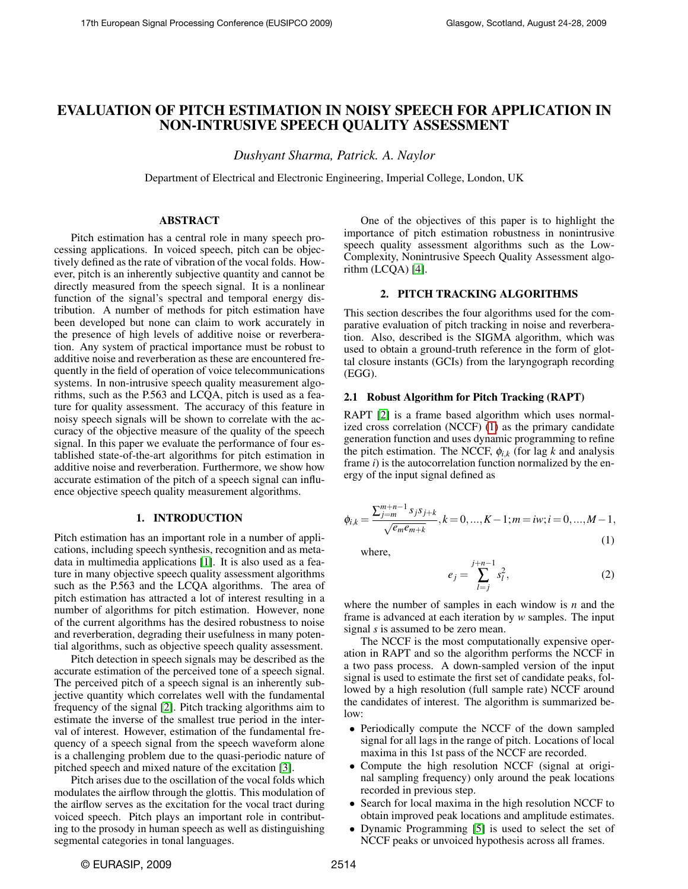# EVALUATION OF PITCH ESTIMATION IN NOISY SPEECH FOR APPLICATION IN NON-INTRUSIVE SPEECH QUALITY ASSESSMENT

*Dushyant Sharma, Patrick. A. Naylor*

Department of Electrical and Electronic Engineering, Imperial College, London, UK

# ABSTRACT

Pitch estimation has a central role in many speech processing applications. In voiced speech, pitch can be objectively defined as the rate of vibration of the vocal folds. However, pitch is an inherently subjective quantity and cannot be directly measured from the speech signal. It is a nonlinear function of the signal's spectral and temporal energy distribution. A number of methods for pitch estimation have been developed but none can claim to work accurately in the presence of high levels of additive noise or reverberation. Any system of practical importance must be robust to additive noise and reverberation as these are encountered frequently in the field of operation of voice telecommunications systems. In non-intrusive speech quality measurement algorithms, such as the P.563 and LCQA, pitch is used as a feature for quality assessment. The accuracy of this feature in noisy speech signals will be shown to correlate with the accuracy of the objective measure of the quality of the speech signal. In this paper we evaluate the performance of four established state-of-the-art algorithms for pitch estimation in additive noise and reverberation. Furthermore, we show how accurate estimation of the pitch of a speech signal can influence objective speech quality measurement algorithms.

# 1. INTRODUCTION

Pitch estimation has an important role in a number of applications, including speech synthesis, recognition and as metadata in multimedia applications [\[1\]](#page-4-0). It is also used as a feature in many objective speech quality assessment algorithms such as the P.563 and the LCQA algorithms. The area of pitch estimation has attracted a lot of interest resulting in a number of algorithms for pitch estimation. However, none of the current algorithms has the desired robustness to noise and reverberation, degrading their usefulness in many potential algorithms, such as objective speech quality assessment.

Pitch detection in speech signals may be described as the accurate estimation of the perceived tone of a speech signal. The perceived pitch of a speech signal is an inherently subjective quantity which correlates well with the fundamental frequency of the signal [\[2\]](#page-4-1). Pitch tracking algorithms aim to estimate the inverse of the smallest true period in the interval of interest. However, estimation of the fundamental frequency of a speech signal from the speech waveform alone is a challenging problem due to the quasi-periodic nature of pitched speech and mixed nature of the excitation [\[3\]](#page-4-2).

Pitch arises due to the oscillation of the vocal folds which modulates the airflow through the glottis. This modulation of the airflow serves as the excitation for the vocal tract during voiced speech. Pitch plays an important role in contributing to the prosody in human speech as well as distinguishing segmental categories in tonal languages.

One of the objectives of this paper is to highlight the importance of pitch estimation robustness in nonintrusive speech quality assessment algorithms such as the Low-Complexity, Nonintrusive Speech Quality Assessment algorithm (LCQA) [\[4\]](#page-4-3).

# 2. PITCH TRACKING ALGORITHMS

This section describes the four algorithms used for the comparative evaluation of pitch tracking in noise and reverberation. Also, described is the SIGMA algorithm, which was used to obtain a ground-truth reference in the form of glottal closure instants (GCIs) from the laryngograph recording (EGG).

# 2.1 Robust Algorithm for Pitch Tracking (RAPT)

RAPT [\[2\]](#page-4-1) is a frame based algorithm which uses normalized cross correlation (NCCF) [\(1\)](#page-0-0) as the primary candidate generation function and uses dynamic programming to refine the pitch estimation. The NCCF,  $\phi_{i,k}$  (for lag *k* and analysis frame *i*) is the autocorrelation function normalized by the energy of the input signal defined as

<span id="page-0-0"></span>
$$
\phi_{i,k} = \frac{\sum_{j=m}^{m+n-1} s_j s_{j+k}}{\sqrt{e_m e_{m+k}}}, k = 0, ..., K-1; m = iw; i = 0, ..., M-1,
$$
\n(1)

where,

$$
e_j = \sum_{l=j}^{j+n-1} s_l^2,
$$
 (2)

where the number of samples in each window is *n* and the frame is advanced at each iteration by *w* samples. The input signal *s* is assumed to be zero mean.

The NCCF is the most computationally expensive operation in RAPT and so the algorithm performs the NCCF in a two pass process. A down-sampled version of the input signal is used to estimate the first set of candidate peaks, followed by a high resolution (full sample rate) NCCF around the candidates of interest. The algorithm is summarized be $low$ 

- Periodically compute the NCCF of the down sampled signal for all lags in the range of pitch. Locations of local maxima in this 1st pass of the NCCF are recorded.
- Compute the high resolution NCCF (signal at original sampling frequency) only around the peak locations recorded in previous step.
- Search for local maxima in the high resolution NCCF to obtain improved peak locations and amplitude estimates.
- Dynamic Programming [\[5\]](#page-4-4) is used to select the set of NCCF peaks or unvoiced hypothesis across all frames.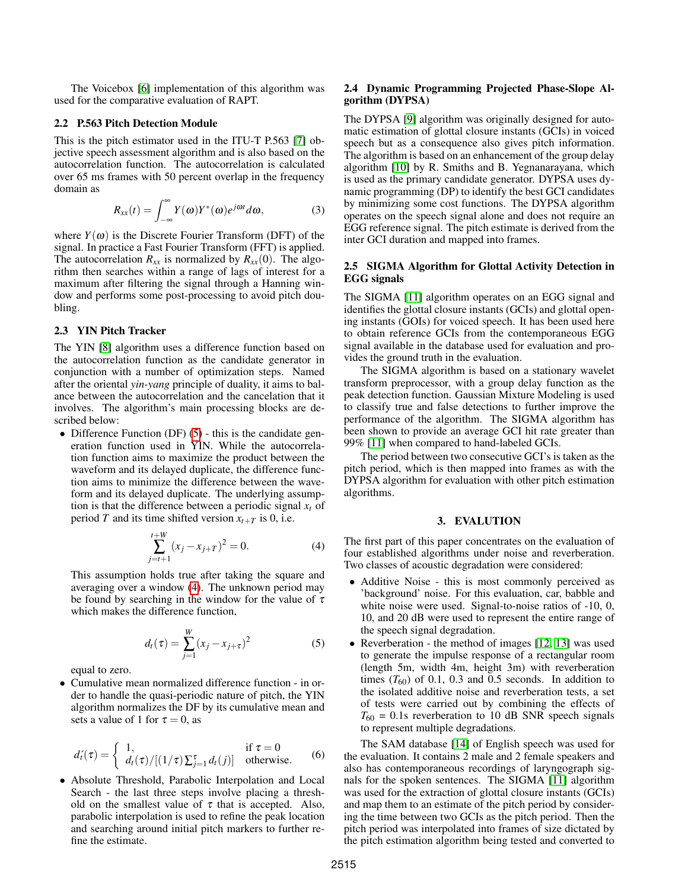The Voicebox [\[6\]](#page-4-5) implementation of this algorithm was used for the comparative evaluation of RAPT.

# 2.2 P.563 Pitch Detection Module

This is the pitch estimator used in the ITU-T P.563 [\[7\]](#page-4-6) objective speech assessment algorithm and is also based on the autocorrelation function. The autocorrelation is calculated over 65 ms frames with 50 percent overlap in the frequency domain as

$$
R_{xx}(t) = \int_{-\infty}^{\infty} Y(\omega) Y^*(\omega) e^{j\omega t} d\omega, \qquad (3)
$$

where  $Y(\omega)$  is the Discrete Fourier Transform (DFT) of the signal. In practice a Fast Fourier Transform (FFT) is applied. The autocorrelation  $R_{xx}$  is normalized by  $R_{xx}(0)$ . The algorithm then searches within a range of lags of interest for a maximum after filtering the signal through a Hanning window and performs some post-processing to avoid pitch doubling.

# 2.3 YIN Pitch Tracker

The YIN [\[8\]](#page-4-7) algorithm uses a difference function based on the autocorrelation function as the candidate generator in conjunction with a number of optimization steps. Named after the oriental *yin-yang* principle of duality, it aims to balance between the autocorrelation and the cancelation that it involves. The algorithm's main processing blocks are described below:

• Difference Function  $(DF)$  [\(5\)](#page-1-0) - this is the candidate generation function used in YIN. While the autocorrelation function aims to maximize the product between the waveform and its delayed duplicate, the difference function aims to minimize the difference between the waveform and its delayed duplicate. The underlying assumption is that the difference between a periodic signal  $x_t$  of period *T* and its time shifted version  $x_{t+T}$  is 0, i.e.

<span id="page-1-1"></span>
$$
\sum_{j=t+1}^{t+W} (x_j - x_{j+T})^2 = 0.
$$
 (4)

This assumption holds true after taking the square and averaging over a window [\(4\)](#page-1-1). The unknown period may be found by searching in the window for the value of  $\tau$ which makes the difference function,

<span id="page-1-0"></span>
$$
d_t(\tau) = \sum_{j=1}^{W} (x_j - x_{j+\tau})^2
$$
 (5)

equal to zero.

• Cumulative mean normalized difference function - in order to handle the quasi-periodic nature of pitch, the YIN algorithm normalizes the DF by its cumulative mean and sets a value of 1 for  $\tau = 0$ , as

$$
d'_{t}(\tau) = \begin{cases} 1, & \text{if } \tau = 0\\ d_{t}(\tau) / [(1/\tau) \sum_{j=1}^{\tau} d_{t}(j)] & \text{otherwise.} \end{cases}
$$
 (6)

• Absolute Threshold, Parabolic Interpolation and Local Search - the last three steps involve placing a threshold on the smallest value of  $\tau$  that is accepted. Also, parabolic interpolation is used to refine the peak location and searching around initial pitch markers to further refine the estimate.

# 2.4 Dynamic Programming Projected Phase-Slope Algorithm (DYPSA)

The DYPSA [\[9\]](#page-4-8) algorithm was originally designed for automatic estimation of glottal closure instants (GCIs) in voiced speech but as a consequence also gives pitch information. The algorithm is based on an enhancement of the group delay algorithm [\[10\]](#page-4-9) by R. Smiths and B. Yegnanarayana, which is used as the primary candidate generator. DYPSA uses dynamic programming (DP) to identify the best GCI candidates by minimizing some cost functions. The DYPSA algorithm operates on the speech signal alone and does not require an EGG reference signal. The pitch estimate is derived from the inter GCI duration and mapped into frames.

# 2.5 SIGMA Algorithm for Glottal Activity Detection in EGG signals

The SIGMA [\[11\]](#page-4-10) algorithm operates on an EGG signal and identifies the glottal closure instants (GCIs) and glottal opening instants (GOIs) for voiced speech. It has been used here to obtain reference GCIs from the contemporaneous EGG signal available in the database used for evaluation and provides the ground truth in the evaluation.

The SIGMA algorithm is based on a stationary wavelet transform preprocessor, with a group delay function as the peak detection function. Gaussian Mixture Modeling is used to classify true and false detections to further improve the performance of the algorithm. The SIGMA algorithm has been shown to provide an average GCI hit rate greater than 99% [\[11\]](#page-4-10) when compared to hand-labeled GCIs.

The period between two consecutive GCI's is taken as the pitch period, which is then mapped into frames as with the DYPSA algorithm for evaluation with other pitch estimation algorithms.

# 3. EVALUTION

The first part of this paper concentrates on the evaluation of four established algorithms under noise and reverberation. Two classes of acoustic degradation were considered:

- Additive Noise this is most commonly perceived as 'background' noise. For this evaluation, car, babble and white noise were used. Signal-to-noise ratios of -10, 0, 10, and 20 dB were used to represent the entire range of the speech signal degradation.
- Reverberation the method of images [\[12,](#page-4-11) [13\]](#page-4-12) was used to generate the impulse response of a rectangular room (length 5m, width 4m, height 3m) with reverberation times  $(T_{60})$  of 0.1, 0.3 and 0.5 seconds. In addition to the isolated additive noise and reverberation tests, a set of tests were carried out by combining the effects of  $T_{60}$  = 0.1s reverberation to 10 dB SNR speech signals to represent multiple degradations.

The SAM database [\[14\]](#page-4-13) of English speech was used for the evaluation. It contains 2 male and 2 female speakers and also has contemporaneous recordings of laryngograph signals for the spoken sentences. The SIGMA [\[11\]](#page-4-10) algorithm was used for the extraction of glottal closure instants (GCIs) and map them to an estimate of the pitch period by considering the time between two GCIs as the pitch period. Then the pitch period was interpolated into frames of size dictated by the pitch estimation algorithm being tested and converted to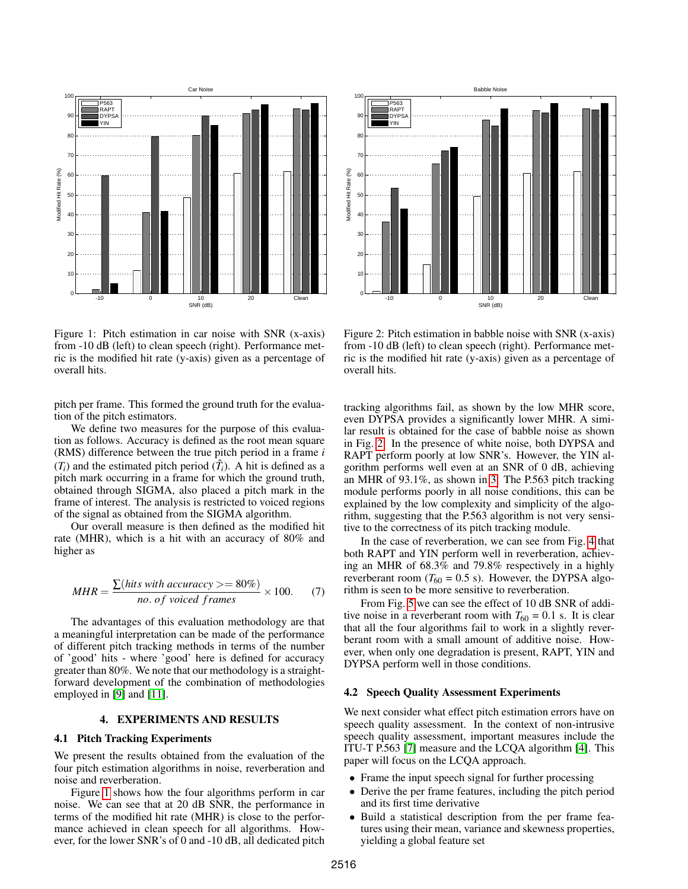

<span id="page-2-0"></span>Figure 1: Pitch estimation in car noise with SNR (x-axis) from -10 dB (left) to clean speech (right). Performance metric is the modified hit rate (y-axis) given as a percentage of overall hits.

pitch per frame. This formed the ground truth for the evaluation of the pitch estimators.

We define two measures for the purpose of this evaluation as follows. Accuracy is defined as the root mean square (RMS) difference between the true pitch period in a frame *i*  $(T_i)$  and the estimated pitch period  $(\hat{T}_i)$ . A hit is defined as a pitch mark occurring in a frame for which the ground truth, obtained through SIGMA, also placed a pitch mark in the frame of interest. The analysis is restricted to voiced regions of the signal as obtained from the SIGMA algorithm.

Our overall measure is then defined as the modified hit rate (MHR), which is a hit with an accuracy of 80% and higher as

$$
MHR = \frac{\sum (hits\ with\ accuracy \gt= 80\%)}{no.\ of\ voiceed\ frames} \times 100. \tag{7}
$$

The advantages of this evaluation methodology are that a meaningful interpretation can be made of the performance of different pitch tracking methods in terms of the number of 'good' hits - where 'good' here is defined for accuracy greater than 80%. We note that our methodology is a straightforward development of the combination of methodologies employed in [\[9\]](#page-4-8) and [\[11\]](#page-4-10).

# 4. EXPERIMENTS AND RESULTS

## 4.1 Pitch Tracking Experiments

We present the results obtained from the evaluation of the four pitch estimation algorithms in noise, reverberation and noise and reverberation.

Figure [1](#page-2-0) shows how the four algorithms perform in car noise. We can see that at 20 dB SNR, the performance in terms of the modified hit rate (MHR) is close to the performance achieved in clean speech for all algorithms. However, for the lower SNR's of 0 and -10 dB, all dedicated pitch



<span id="page-2-1"></span>Figure 2: Pitch estimation in babble noise with SNR (x-axis) from -10 dB (left) to clean speech (right). Performance metric is the modified hit rate (y-axis) given as a percentage of overall hits.

tracking algorithms fail, as shown by the low MHR score, even DYPSA provides a significantly lower MHR. A similar result is obtained for the case of babble noise as shown in Fig. [2.](#page-2-1) In the presence of white noise, both DYPSA and RAPT perform poorly at low SNR's. However, the YIN algorithm performs well even at an SNR of 0 dB, achieving an MHR of 93.1%, as shown in [3.](#page-3-0) The P.563 pitch tracking module performs poorly in all noise conditions, this can be explained by the low complexity and simplicity of the algorithm, suggesting that the P.563 algorithm is not very sensitive to the correctness of its pitch tracking module.

In the case of reverberation, we can see from Fig. [4](#page-3-1) that both RAPT and YIN perform well in reverberation, achieving an MHR of 68.3% and 79.8% respectively in a highly reverberant room ( $T_{60} = 0.5$  s). However, the DYPSA algorithm is seen to be more sensitive to reverberation.

From Fig. [5](#page-4-14) we can see the effect of 10 dB SNR of additive noise in a reverberant room with  $T_{60} = 0.1$  s. It is clear that all the four algorithms fail to work in a slightly reverberant room with a small amount of additive noise. However, when only one degradation is present, RAPT, YIN and DYPSA perform well in those conditions.

#### 4.2 Speech Quality Assessment Experiments

We next consider what effect pitch estimation errors have on speech quality assessment. In the context of non-intrusive speech quality assessment, important measures include the ITU-T P.563 [\[7\]](#page-4-6) measure and the LCQA algorithm [\[4\]](#page-4-3). This paper will focus on the LCQA approach.

- Frame the input speech signal for further processing
- Derive the per frame features, including the pitch period and its first time derivative
- Build a statistical description from the per frame features using their mean, variance and skewness properties, yielding a global feature set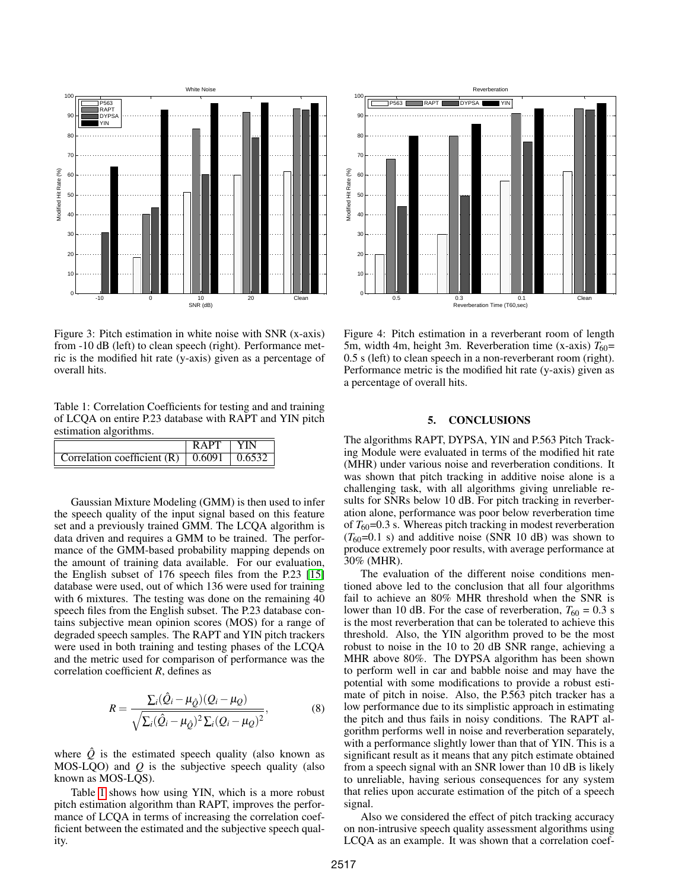

<span id="page-3-0"></span>Figure 3: Pitch estimation in white noise with SNR (x-axis) from -10 dB (left) to clean speech (right). Performance metric is the modified hit rate (y-axis) given as a percentage of overall hits.

<span id="page-3-2"></span>Table 1: Correlation Coefficients for testing and and training of LCQA on entire P.23 database with RAPT and YIN pitch estimation algorithms.

|                                                           | <b>RAPT</b> |  |
|-----------------------------------------------------------|-------------|--|
| Correlation coefficient (R) $\vert$ 0.6091 $\vert$ 0.6532 |             |  |

Gaussian Mixture Modeling (GMM) is then used to infer the speech quality of the input signal based on this feature set and a previously trained GMM. The LCQA algorithm is data driven and requires a GMM to be trained. The performance of the GMM-based probability mapping depends on the amount of training data available. For our evaluation, the English subset of 176 speech files from the P.23 [\[15\]](#page-4-15) database were used, out of which 136 were used for training with 6 mixtures. The testing was done on the remaining 40 speech files from the English subset. The P.23 database contains subjective mean opinion scores (MOS) for a range of degraded speech samples. The RAPT and YIN pitch trackers were used in both training and testing phases of the LCQA and the metric used for comparison of performance was the correlation coefficient *R*, defines as

$$
R = \frac{\Sigma_i(\hat{Q}_i - \mu_{\hat{Q}})(Q_i - \mu_Q)}{\sqrt{\Sigma_i(\hat{Q}_i - \mu_{\hat{Q}})^2 \Sigma_i(Q_i - \mu_Q)^2}},
$$
(8)

where  $\hat{Q}$  is the estimated speech quality (also known as MOS-LQO) and *Q* is the subjective speech quality (also known as MOS-LQS).

Table [1](#page-3-2) shows how using YIN, which is a more robust pitch estimation algorithm than RAPT, improves the performance of LCQA in terms of increasing the correlation coefficient between the estimated and the subjective speech quality.



<span id="page-3-1"></span>Figure 4: Pitch estimation in a reverberant room of length 5m, width 4m, height 3m. Reverberation time (x-axis)  $T_{60}$ = 0.5 s (left) to clean speech in a non-reverberant room (right). Performance metric is the modified hit rate (y-axis) given as a percentage of overall hits.

# 5. CONCLUSIONS

The algorithms RAPT, DYPSA, YIN and P.563 Pitch Tracking Module were evaluated in terms of the modified hit rate (MHR) under various noise and reverberation conditions. It was shown that pitch tracking in additive noise alone is a challenging task, with all algorithms giving unreliable results for SNRs below 10 dB. For pitch tracking in reverberation alone, performance was poor below reverberation time of  $T_{60}$ =0.3 s. Whereas pitch tracking in modest reverberation  $(T_{60}=0.1 \text{ s})$  and additive noise (SNR 10 dB) was shown to produce extremely poor results, with average performance at 30% (MHR).

The evaluation of the different noise conditions mentioned above led to the conclusion that all four algorithms fail to achieve an 80% MHR threshold when the SNR is lower than 10 dB. For the case of reverberation,  $T_{60} = 0.3$  s is the most reverberation that can be tolerated to achieve this threshold. Also, the YIN algorithm proved to be the most robust to noise in the 10 to 20 dB SNR range, achieving a MHR above 80%. The DYPSA algorithm has been shown to perform well in car and babble noise and may have the potential with some modifications to provide a robust estimate of pitch in noise. Also, the P.563 pitch tracker has a low performance due to its simplistic approach in estimating the pitch and thus fails in noisy conditions. The RAPT algorithm performs well in noise and reverberation separately, with a performance slightly lower than that of YIN. This is a significant result as it means that any pitch estimate obtained from a speech signal with an SNR lower than 10 dB is likely to unreliable, having serious consequences for any system that relies upon accurate estimation of the pitch of a speech signal.

Also we considered the effect of pitch tracking accuracy on non-intrusive speech quality assessment algorithms using LCQA as an example. It was shown that a correlation coef-